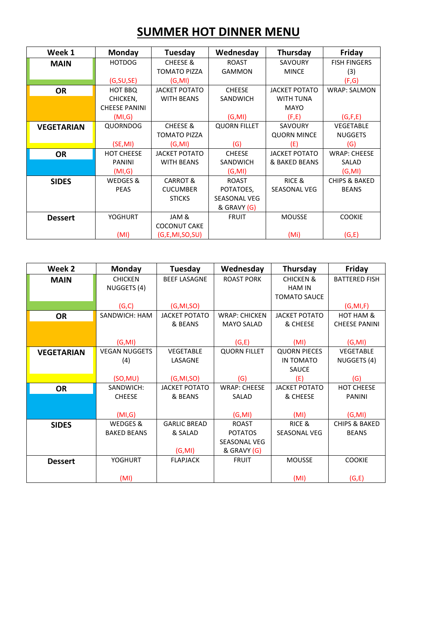## **SUMMER HOT DINNER MENU**

| Week 1            | Monday               | <b>Tuesday</b>       | Wednesday           | Thursday             | Friday                   |
|-------------------|----------------------|----------------------|---------------------|----------------------|--------------------------|
| <b>MAIN</b>       | <b>HOTDOG</b>        | <b>CHEESE &amp;</b>  | <b>ROAST</b>        | SAVOURY              | <b>FISH FINGERS</b>      |
|                   |                      | <b>TOMATO PIZZA</b>  | <b>GAMMON</b>       | <b>MINCE</b>         | (3)                      |
|                   | (G, SU, SE)          | (G, MI)              |                     |                      | (F,G)                    |
| <b>OR</b>         | HOT BBQ              | <b>JACKET POTATO</b> | <b>CHEESE</b>       | <b>JACKET POTATO</b> | <b>WRAP: SALMON</b>      |
|                   | CHICKEN,             | <b>WITH BEANS</b>    | <b>SANDWICH</b>     | <b>WITH TUNA</b>     |                          |
|                   | <b>CHEESE PANINI</b> |                      |                     | <b>MAYO</b>          |                          |
|                   | (MI,G)               |                      | (G, MI)             | (F,E)                | (G, F, E)                |
| <b>VEGETARIAN</b> | QUORNDOG             | <b>CHEESE &amp;</b>  | <b>QUORN FILLET</b> | SAVOURY              | <b>VEGETABLE</b>         |
|                   |                      | <b>TOMATO PIZZA</b>  |                     | <b>QUORN MINCE</b>   | <b>NUGGETS</b>           |
|                   | (SE, MI)             | (G, MI)              | (G)                 | (E)                  | (G)                      |
| <b>OR</b>         | <b>HOT CHEESE</b>    | <b>JACKET POTATO</b> | <b>CHEESE</b>       | <b>JACKET POTATO</b> | <b>WRAP: CHEESE</b>      |
|                   | <b>PANINI</b>        | <b>WITH BEANS</b>    | <b>SANDWICH</b>     | & BAKED BEANS        | SALAD                    |
|                   | (MI,G)               |                      | (G, MI)             |                      | (G, MI)                  |
| <b>SIDES</b>      | WEDGES &             | <b>CARROT &amp;</b>  | <b>ROAST</b>        | RICE &               | <b>CHIPS &amp; BAKED</b> |
|                   | <b>PEAS</b>          | <b>CUCUMBER</b>      | POTATOES,           | <b>SEASONAL VEG</b>  | <b>BEANS</b>             |
|                   |                      | <b>STICKS</b>        | <b>SEASONAL VEG</b> |                      |                          |
|                   |                      |                      | & GRAVY (G)         |                      |                          |
| <b>Dessert</b>    | <b>YOGHURT</b>       | JAM &                | <b>FRUIT</b>        | <b>MOUSSE</b>        | <b>COOKIE</b>            |
|                   |                      | <b>COCONUT CAKE</b>  |                     |                      |                          |
|                   | (MI)                 | (G, E, MI, SO, SU)   |                     | (Mi)                 | (G,E)                    |

| Week 2            | <b>Monday</b>        | Tuesday              | Wednesday            | Thursday             | Friday                   |
|-------------------|----------------------|----------------------|----------------------|----------------------|--------------------------|
| <b>MAIN</b>       | <b>CHICKEN</b>       | <b>BEEF LASAGNE</b>  | <b>ROAST PORK</b>    | <b>CHICKEN &amp;</b> | <b>BATTERED FISH</b>     |
|                   | NUGGETS (4)          |                      |                      | <b>HAM IN</b>        |                          |
|                   |                      |                      |                      | <b>TOMATO SAUCE</b>  |                          |
|                   | (G,C)                | (G, MI, SO)          |                      |                      | (G, MI, F)               |
| <b>OR</b>         | SANDWICH: HAM        | <b>JACKET POTATO</b> | <b>WRAP: CHICKEN</b> | <b>JACKET POTATO</b> | HOT HAM &                |
|                   |                      | & BEANS              | <b>MAYO SALAD</b>    | & CHEESE             | <b>CHEESE PANINI</b>     |
|                   |                      |                      |                      |                      |                          |
|                   | (G, MI)              |                      | (G,E)                | (MI)                 | (G, MI)                  |
| <b>VEGETARIAN</b> | <b>VEGAN NUGGETS</b> | <b>VEGETABLE</b>     | <b>QUORN FILLET</b>  | <b>QUORN PIECES</b>  | VEGETABLE                |
|                   | (4)                  | LASAGNE              |                      | IN TOMATO            | NUGGETS (4)              |
|                   |                      |                      |                      | <b>SAUCE</b>         |                          |
|                   | (SO, MU)             | (G, MI, SO)          | (G)                  | (E)                  | (G)                      |
| <b>OR</b>         | SANDWICH:            | <b>JACKET POTATO</b> | <b>WRAP: CHEESE</b>  | <b>JACKET POTATO</b> | HOT CHEESE               |
|                   | <b>CHEESE</b>        | & BEANS              | SALAD                | & CHEESE             | <b>PANINI</b>            |
|                   |                      |                      |                      |                      |                          |
|                   | (MI,G)               |                      | (G, MI)              | (MI)                 | (G, MI)                  |
| <b>SIDES</b>      | WEDGES &             | <b>GARLIC BREAD</b>  | <b>ROAST</b>         | RICE &               | <b>CHIPS &amp; BAKED</b> |
|                   | <b>BAKED BEANS</b>   | & SALAD              | <b>POTATOS</b>       | <b>SEASONAL VEG</b>  | <b>BEANS</b>             |
|                   |                      |                      | SEASONAL VEG         |                      |                          |
|                   |                      | (G, MI)              | & GRAVY (G)          |                      |                          |
| <b>Dessert</b>    | <b>YOGHURT</b>       | <b>FLAPJACK</b>      | <b>FRUIT</b>         | <b>MOUSSE</b>        | <b>COOKIE</b>            |
|                   |                      |                      |                      |                      |                          |
|                   | (MI)                 |                      |                      | (MI)                 | (G,E)                    |